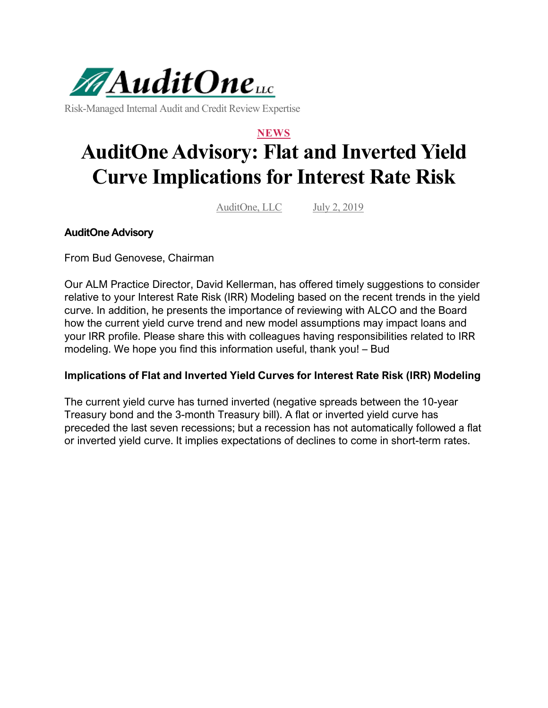

Risk-Managed Internal Audit and Credit Review Expertise

# **NEWS AuditOne Advisory: Flat and Inverted Yield Curve Implications for Interest Rate Risk**

AuditOne, LLC July 2, 2019

# **AuditOne Advisory**

From Bud Genovese, Chairman

Our ALM Practice Director, David Kellerman, has offered timely suggestions to consider relative to your Interest Rate Risk (IRR) Modeling based on the recent trends in the yield curve. In addition, he presents the importance of reviewing with ALCO and the Board how the current yield curve trend and new model assumptions may impact loans and your IRR profile. Please share this with colleagues having responsibilities related to IRR modeling. We hope you find this information useful, thank you! – Bud

## **Implications of Flat and Inverted Yield Curves for Interest Rate Risk (IRR) Modeling**

The current yield curve has turned inverted (negative spreads between the 10-year Treasury bond and the 3-month Treasury bill). A flat or inverted yield curve has preceded the last seven recessions; but a recession has not automatically followed a flat or inverted yield curve. It implies expectations of declines to come in short-term rates.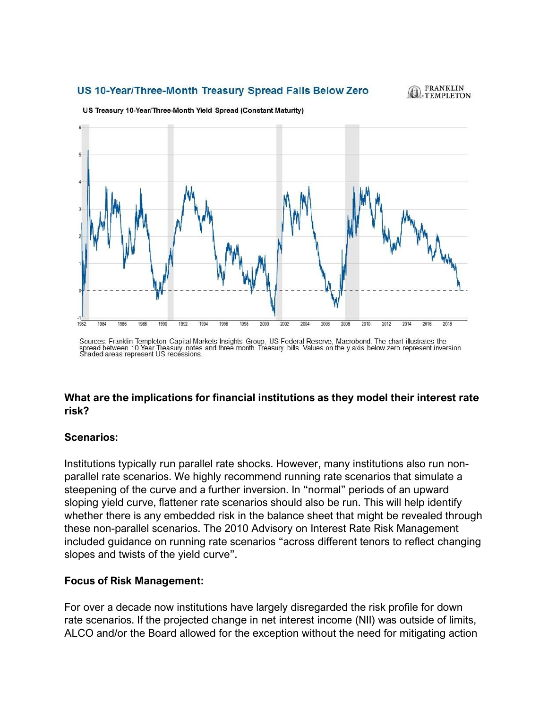#### US 10-Year/Three-Month Treasury Spread Falls Below Zero



 $\overline{6}$ 5 1990  $2000$ 2002 2004 2006  $2008$ 2010 2012 2014 2016 2018

US Treasury 10-Year/Three-Month Yield Spread (Constant Maturity)

Sources: Franklin Templeton Capital Markets Insights Group, US Federal Reserve, Macrobond. The chart illustrates the<br>spread between 10-Year Treasury notes and three-month Treasury bills. Values on the y-axis below zero rep

## **What are the implications for financial institutions as they model their interest rate risk?**

### **Scenarios:**

Institutions typically run parallel rate shocks. However, many institutions also run nonparallel rate scenarios. We highly recommend running rate scenarios that simulate a steepening of the curve and a further inversion. In "normal" periods of an upward sloping yield curve, flattener rate scenarios should also be run. This will help identify whether there is any embedded risk in the balance sheet that might be revealed through these non-parallel scenarios. The 2010 Advisory on Interest Rate Risk Management included guidance on running rate scenarios "across different tenors to reflect changing slopes and twists of the yield curve".

#### **Focus of Risk Management:**

For over a decade now institutions have largely disregarded the risk profile for down rate scenarios. If the projected change in net interest income (NII) was outside of limits, ALCO and/or the Board allowed for the exception without the need for mitigating action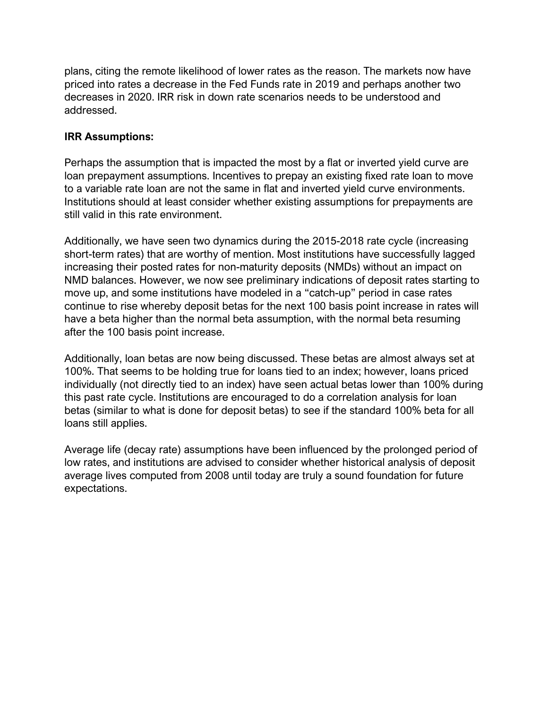plans, citing the remote likelihood of lower rates as the reason. The markets now have priced into rates a decrease in the Fed Funds rate in 2019 and perhaps another two decreases in 2020. IRR risk in down rate scenarios needs to be understood and addressed.

## **IRR Assumptions:**

Perhaps the assumption that is impacted the most by a flat or inverted yield curve are loan prepayment assumptions. Incentives to prepay an existing fixed rate loan to move to a variable rate loan are not the same in flat and inverted yield curve environments. Institutions should at least consider whether existing assumptions for prepayments are still valid in this rate environment.

Additionally, we have seen two dynamics during the 2015-2018 rate cycle (increasing short-term rates) that are worthy of mention. Most institutions have successfully lagged increasing their posted rates for non-maturity deposits (NMDs) without an impact on NMD balances. However, we now see preliminary indications of deposit rates starting to move up, and some institutions have modeled in a "catch-up" period in case rates continue to rise whereby deposit betas for the next 100 basis point increase in rates will have a beta higher than the normal beta assumption, with the normal beta resuming after the 100 basis point increase.

Additionally, loan betas are now being discussed. These betas are almost always set at 100%. That seems to be holding true for loans tied to an index; however, loans priced individually (not directly tied to an index) have seen actual betas lower than 100% during this past rate cycle. Institutions are encouraged to do a correlation analysis for loan betas (similar to what is done for deposit betas) to see if the standard 100% beta for all loans still applies.

Average life (decay rate) assumptions have been influenced by the prolonged period of low rates, and institutions are advised to consider whether historical analysis of deposit average lives computed from 2008 until today are truly a sound foundation for future expectations.